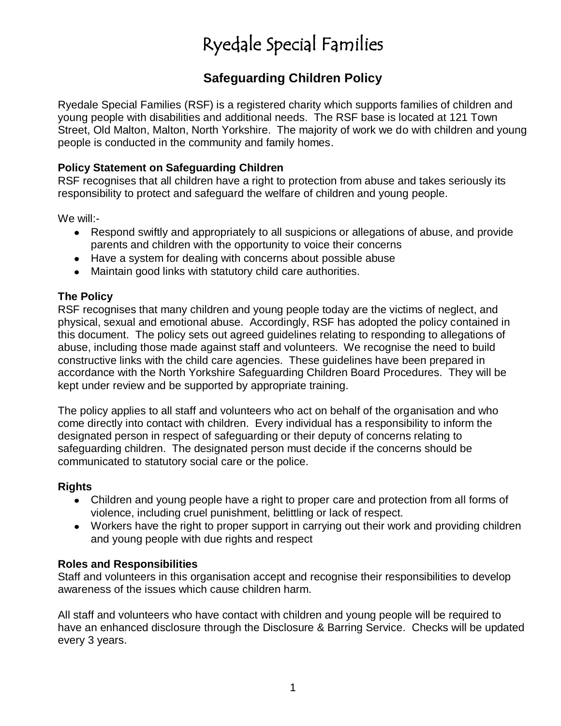## **Safeguarding Children Policy**

Ryedale Special Families (RSF) is a registered charity which supports families of children and young people with disabilities and additional needs. The RSF base is located at 121 Town Street, Old Malton, Malton, North Yorkshire. The majority of work we do with children and young people is conducted in the community and family homes.

### **Policy Statement on Safeguarding Children**

RSF recognises that all children have a right to protection from abuse and takes seriously its responsibility to protect and safeguard the welfare of children and young people.

We will:-

- Respond swiftly and appropriately to all suspicions or allegations of abuse, and provide parents and children with the opportunity to voice their concerns
- Have a system for dealing with concerns about possible abuse
- Maintain good links with statutory child care authorities.

## **The Policy**

RSF recognises that many children and young people today are the victims of neglect, and physical, sexual and emotional abuse. Accordingly, RSF has adopted the policy contained in this document. The policy sets out agreed guidelines relating to responding to allegations of abuse, including those made against staff and volunteers. We recognise the need to build constructive links with the child care agencies. These guidelines have been prepared in accordance with the North Yorkshire Safeguarding Children Board Procedures. They will be kept under review and be supported by appropriate training.

The policy applies to all staff and volunteers who act on behalf of the organisation and who come directly into contact with children. Every individual has a responsibility to inform the designated person in respect of safeguarding or their deputy of concerns relating to safeguarding children. The designated person must decide if the concerns should be communicated to statutory social care or the police.

### **Rights**

- Children and young people have a right to proper care and protection from all forms of violence, including cruel punishment, belittling or lack of respect.
- Workers have the right to proper support in carrying out their work and providing children and young people with due rights and respect

### **Roles and Responsibilities**

Staff and volunteers in this organisation accept and recognise their responsibilities to develop awareness of the issues which cause children harm.

All staff and volunteers who have contact with children and young people will be required to have an enhanced disclosure through the Disclosure & Barring Service. Checks will be updated every 3 years.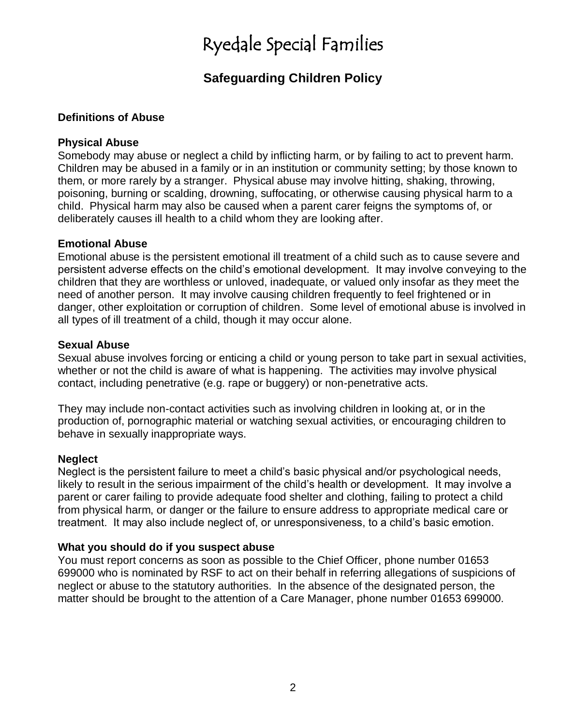## **Safeguarding Children Policy**

#### **Definitions of Abuse**

#### **Physical Abuse**

Somebody may abuse or neglect a child by inflicting harm, or by failing to act to prevent harm. Children may be abused in a family or in an institution or community setting; by those known to them, or more rarely by a stranger. Physical abuse may involve hitting, shaking, throwing, poisoning, burning or scalding, drowning, suffocating, or otherwise causing physical harm to a child. Physical harm may also be caused when a parent carer feigns the symptoms of, or deliberately causes ill health to a child whom they are looking after.

#### **Emotional Abuse**

Emotional abuse is the persistent emotional ill treatment of a child such as to cause severe and persistent adverse effects on the child's emotional development. It may involve conveying to the children that they are worthless or unloved, inadequate, or valued only insofar as they meet the need of another person. It may involve causing children frequently to feel frightened or in danger, other exploitation or corruption of children. Some level of emotional abuse is involved in all types of ill treatment of a child, though it may occur alone.

#### **Sexual Abuse**

Sexual abuse involves forcing or enticing a child or young person to take part in sexual activities, whether or not the child is aware of what is happening. The activities may involve physical contact, including penetrative (e.g. rape or buggery) or non-penetrative acts.

They may include non-contact activities such as involving children in looking at, or in the production of, pornographic material or watching sexual activities, or encouraging children to behave in sexually inappropriate ways.

#### **Neglect**

Neglect is the persistent failure to meet a child's basic physical and/or psychological needs, likely to result in the serious impairment of the child's health or development. It may involve a parent or carer failing to provide adequate food shelter and clothing, failing to protect a child from physical harm, or danger or the failure to ensure address to appropriate medical care or treatment. It may also include neglect of, or unresponsiveness, to a child's basic emotion.

#### **What you should do if you suspect abuse**

You must report concerns as soon as possible to the Chief Officer, phone number 01653 699000 who is nominated by RSF to act on their behalf in referring allegations of suspicions of neglect or abuse to the statutory authorities. In the absence of the designated person, the matter should be brought to the attention of a Care Manager, phone number 01653 699000.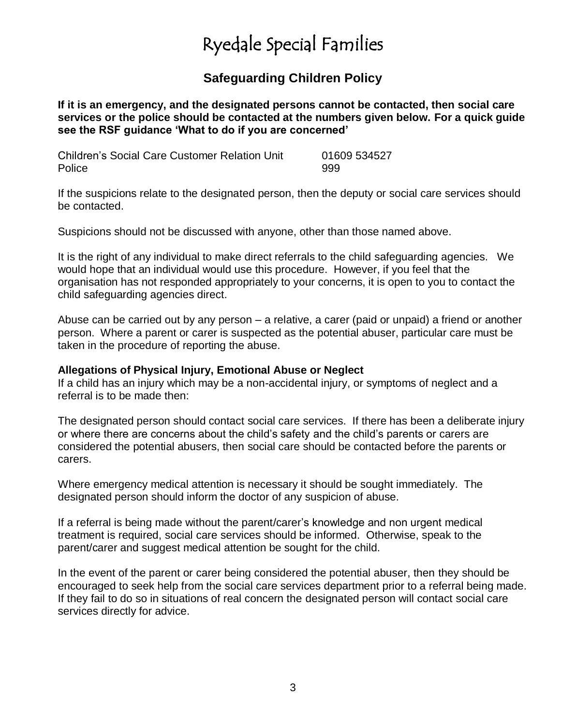## **Safeguarding Children Policy**

**If it is an emergency, and the designated persons cannot be contacted, then social care services or the police should be contacted at the numbers given below. For a quick guide see the RSF guidance 'What to do if you are concerned'**

Children's Social Care Customer Relation Unit 01609 534527 Police 999

If the suspicions relate to the designated person, then the deputy or social care services should be contacted.

Suspicions should not be discussed with anyone, other than those named above.

It is the right of any individual to make direct referrals to the child safeguarding agencies. We would hope that an individual would use this procedure. However, if you feel that the organisation has not responded appropriately to your concerns, it is open to you to contact the child safeguarding agencies direct.

Abuse can be carried out by any person – a relative, a carer (paid or unpaid) a friend or another person. Where a parent or carer is suspected as the potential abuser, particular care must be taken in the procedure of reporting the abuse.

#### **Allegations of Physical Injury, Emotional Abuse or Neglect**

If a child has an injury which may be a non-accidental injury, or symptoms of neglect and a referral is to be made then:

The designated person should contact social care services. If there has been a deliberate injury or where there are concerns about the child's safety and the child's parents or carers are considered the potential abusers, then social care should be contacted before the parents or carers.

Where emergency medical attention is necessary it should be sought immediately. The designated person should inform the doctor of any suspicion of abuse.

If a referral is being made without the parent/carer's knowledge and non urgent medical treatment is required, social care services should be informed. Otherwise, speak to the parent/carer and suggest medical attention be sought for the child.

In the event of the parent or carer being considered the potential abuser, then they should be encouraged to seek help from the social care services department prior to a referral being made. If they fail to do so in situations of real concern the designated person will contact social care services directly for advice.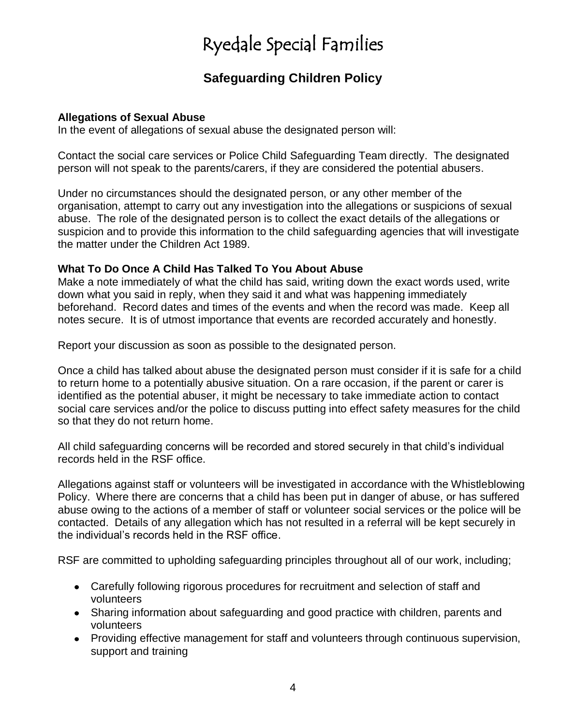## **Safeguarding Children Policy**

### **Allegations of Sexual Abuse**

In the event of allegations of sexual abuse the designated person will:

Contact the social care services or Police Child Safeguarding Team directly. The designated person will not speak to the parents/carers, if they are considered the potential abusers.

Under no circumstances should the designated person, or any other member of the organisation, attempt to carry out any investigation into the allegations or suspicions of sexual abuse. The role of the designated person is to collect the exact details of the allegations or suspicion and to provide this information to the child safeguarding agencies that will investigate the matter under the Children Act 1989.

### **What To Do Once A Child Has Talked To You About Abuse**

Make a note immediately of what the child has said, writing down the exact words used, write down what you said in reply, when they said it and what was happening immediately beforehand. Record dates and times of the events and when the record was made. Keep all notes secure. It is of utmost importance that events are recorded accurately and honestly.

Report your discussion as soon as possible to the designated person.

Once a child has talked about abuse the designated person must consider if it is safe for a child to return home to a potentially abusive situation. On a rare occasion, if the parent or carer is identified as the potential abuser, it might be necessary to take immediate action to contact social care services and/or the police to discuss putting into effect safety measures for the child so that they do not return home.

All child safeguarding concerns will be recorded and stored securely in that child's individual records held in the RSF office.

Allegations against staff or volunteers will be investigated in accordance with the Whistleblowing Policy. Where there are concerns that a child has been put in danger of abuse, or has suffered abuse owing to the actions of a member of staff or volunteer social services or the police will be contacted. Details of any allegation which has not resulted in a referral will be kept securely in the individual's records held in the RSF office.

RSF are committed to upholding safeguarding principles throughout all of our work, including;

- Carefully following rigorous procedures for recruitment and selection of staff and volunteers
- Sharing information about safeguarding and good practice with children, parents and volunteers
- Providing effective management for staff and volunteers through continuous supervision, support and training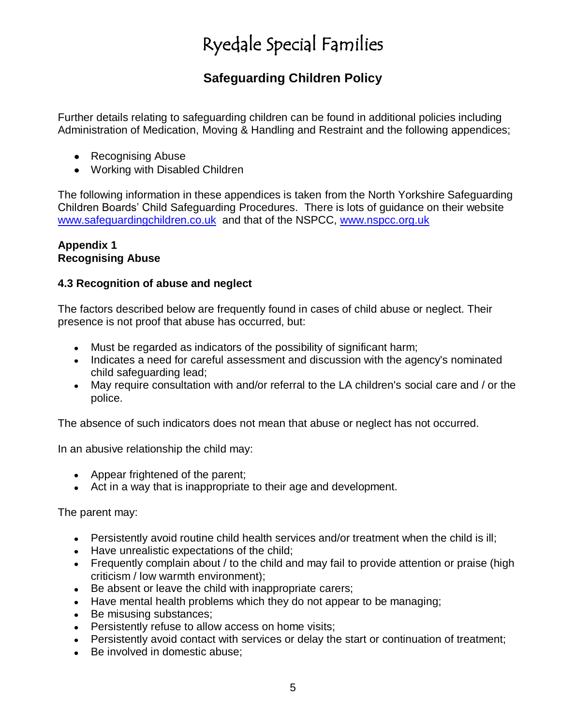## **Safeguarding Children Policy**

Further details relating to safeguarding children can be found in additional policies including Administration of Medication, Moving & Handling and Restraint and the following appendices;

- Recognising Abuse
- Working with Disabled Children

The following information in these appendices is taken from the North Yorkshire Safeguarding Children Boards' Child Safeguarding Procedures. There is lots of guidance on their website [www.safeguardingchildren.co.uk](http://www.safeguardingchildren.co.uk/) and that of the NSPCC, [www.nspcc.org.uk](http://www.nspcc.org.uk/)

#### **Appendix 1 Recognising Abuse**

### **4.3 Recognition of abuse and neglect**

The factors described below are frequently found in cases of child abuse or neglect. Their presence is not proof that abuse has occurred, but:

- Must be regarded as indicators of the possibility of significant harm;
- Indicates a need for careful assessment and discussion with the agency's nominated child safeguarding lead;
- May require consultation with and/or referral to the LA children's social care and / or the  $\bullet$ police.

The absence of such indicators does not mean that abuse or neglect has not occurred.

In an abusive relationship the child may:

- Appear frightened of the parent;
- Act in a way that is inappropriate to their age and development.

The parent may:

- Persistently avoid routine child health services and/or treatment when the child is ill;
- Have unrealistic expectations of the child;
- Frequently complain about / to the child and may fail to provide attention or praise (high criticism / low warmth environment);
- Be absent or leave the child with inappropriate carers;  $\bullet$
- Have mental health problems which they do not appear to be managing;
- $\bullet$ Be misusing substances;
- Persistently refuse to allow access on home visits:
- Persistently avoid contact with services or delay the start or continuation of treatment;
- Be involved in domestic abuse: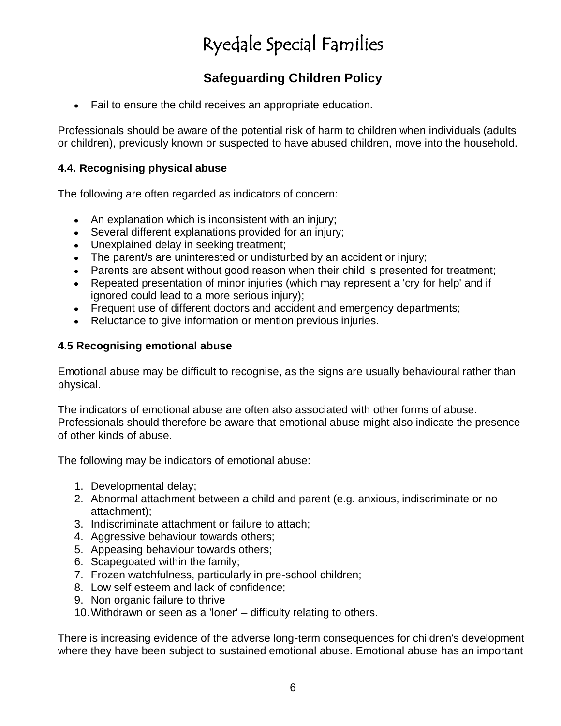## **Safeguarding Children Policy**

Fail to ensure the child receives an appropriate education.

Professionals should be aware of the potential risk of harm to children when individuals (adults or children), previously known or suspected to have abused children, move into the household.

### **4.4. Recognising physical abuse**

The following are often regarded as indicators of concern:

- An explanation which is inconsistent with an injury;
- Several different explanations provided for an injury;
- Unexplained delay in seeking treatment;
- The parent/s are uninterested or undisturbed by an accident or injury;
- Parents are absent without good reason when their child is presented for treatment;
- Repeated presentation of minor injuries (which may represent a 'cry for help' and if ignored could lead to a more serious injury);
- Frequent use of different doctors and accident and emergency departments;
- Reluctance to give information or mention previous injuries.

#### **4.5 Recognising emotional abuse**

Emotional abuse may be difficult to recognise, as the signs are usually behavioural rather than physical.

The indicators of emotional abuse are often also associated with other forms of abuse. Professionals should therefore be aware that emotional abuse might also indicate the presence of other kinds of abuse.

The following may be indicators of emotional abuse:

- 1. Developmental delay;
- 2. Abnormal attachment between a child and parent (e.g. anxious, indiscriminate or no attachment);
- 3. Indiscriminate attachment or failure to attach;
- 4. Aggressive behaviour towards others;
- 5. Appeasing behaviour towards others;
- 6. Scapegoated within the family;
- 7. Frozen watchfulness, particularly in pre-school children;
- 8. Low self esteem and lack of confidence;
- 9. Non organic failure to thrive
- 10.Withdrawn or seen as a 'loner' difficulty relating to others.

There is increasing evidence of the adverse long-term consequences for children's development where they have been subject to sustained emotional abuse. Emotional abuse has an important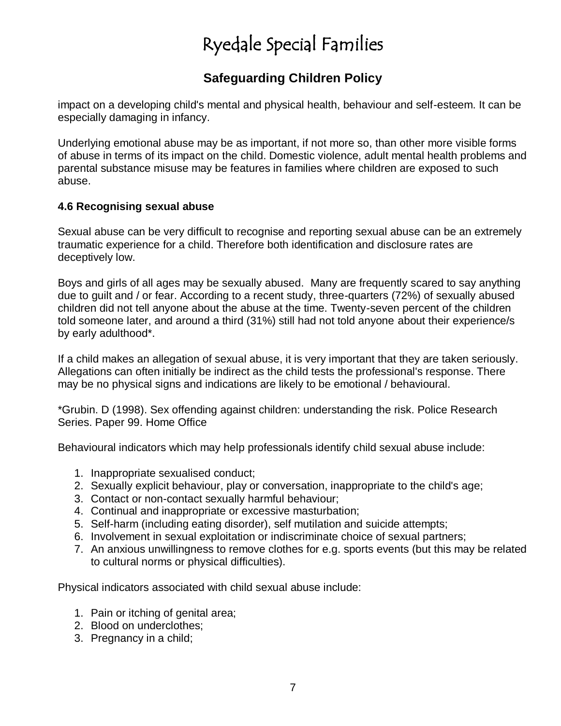## **Safeguarding Children Policy**

impact on a developing child's mental and physical health, behaviour and self-esteem. It can be especially damaging in infancy.

Underlying emotional abuse may be as important, if not more so, than other more visible forms of abuse in terms of its impact on the child. Domestic violence, adult mental health problems and parental substance misuse may be features in families where children are exposed to such abuse.

### **4.6 Recognising sexual abuse**

Sexual abuse can be very difficult to recognise and reporting sexual abuse can be an extremely traumatic experience for a child. Therefore both identification and disclosure rates are deceptively low.

Boys and girls of all ages may be sexually abused. Many are frequently scared to say anything due to guilt and / or fear. According to a recent study, three-quarters (72%) of sexually abused children did not tell anyone about the abuse at the time. Twenty-seven percent of the children told someone later, and around a third (31%) still had not told anyone about their experience/s by early adulthood\*.

If a child makes an allegation of sexual abuse, it is very important that they are taken seriously. Allegations can often initially be indirect as the child tests the professional's response. There may be no physical signs and indications are likely to be emotional / behavioural.

\*Grubin. D (1998). Sex offending against children: understanding the risk. Police Research Series. Paper 99. Home Office

Behavioural indicators which may help professionals identify child sexual abuse include:

- 1. Inappropriate sexualised conduct;
- 2. Sexually explicit behaviour, play or conversation, inappropriate to the child's age;
- 3. Contact or non-contact sexually harmful behaviour;
- 4. Continual and inappropriate or excessive masturbation;
- 5. Self-harm (including eating disorder), self mutilation and suicide attempts;
- 6. Involvement in sexual exploitation or indiscriminate choice of sexual partners;
- 7. An anxious unwillingness to remove clothes for e.g. sports events (but this may be related to cultural norms or physical difficulties).

Physical indicators associated with child sexual abuse include:

- 1. Pain or itching of genital area;
- 2. Blood on underclothes;
- 3. Pregnancy in a child;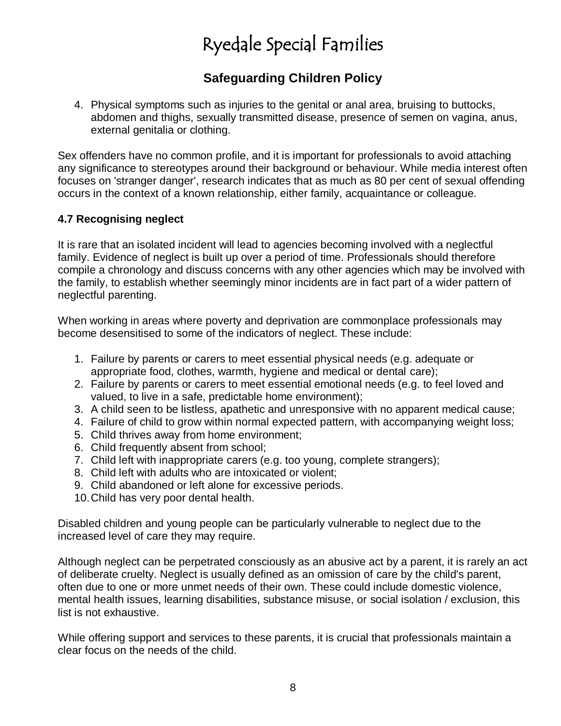## **Safeguarding Children Policy**

4. Physical symptoms such as injuries to the genital or anal area, bruising to buttocks, abdomen and thighs, sexually transmitted disease, presence of semen on vagina, anus, external genitalia or clothing.

Sex offenders have no common profile, and it is important for professionals to avoid attaching any significance to stereotypes around their background or behaviour. While media interest often focuses on 'stranger danger', research indicates that as much as 80 per cent of sexual offending occurs in the context of a known relationship, either family, acquaintance or colleague.

### **4.7 Recognising neglect**

It is rare that an isolated incident will lead to agencies becoming involved with a neglectful family. Evidence of neglect is built up over a period of time. Professionals should therefore compile a chronology and discuss concerns with any other agencies which may be involved with the family, to establish whether seemingly minor incidents are in fact part of a wider pattern of neglectful parenting.

When working in areas where poverty and deprivation are commonplace professionals may become desensitised to some of the indicators of neglect. These include:

- 1. Failure by parents or carers to meet essential physical needs (e.g. adequate or appropriate food, clothes, warmth, hygiene and medical or dental care);
- 2. Failure by parents or carers to meet essential emotional needs (e.g. to feel loved and valued, to live in a safe, predictable home environment);
- 3. A child seen to be listless, apathetic and unresponsive with no apparent medical cause;
- 4. Failure of child to grow within normal expected pattern, with accompanying weight loss;
- 5. Child thrives away from home environment;
- 6. Child frequently absent from school;
- 7. Child left with inappropriate carers (e.g. too young, complete strangers);
- 8. Child left with adults who are intoxicated or violent;
- 9. Child abandoned or left alone for excessive periods.
- 10.Child has very poor dental health.

Disabled children and young people can be particularly vulnerable to neglect due to the increased level of care they may require.

Although neglect can be perpetrated consciously as an abusive act by a parent, it is rarely an act of deliberate cruelty. Neglect is usually defined as an omission of care by the child's parent, often due to one or more unmet needs of their own. These could include domestic violence, mental health issues, learning disabilities, substance misuse, or social isolation / exclusion, this list is not exhaustive.

While offering support and services to these parents, it is crucial that professionals maintain a clear focus on the needs of the child.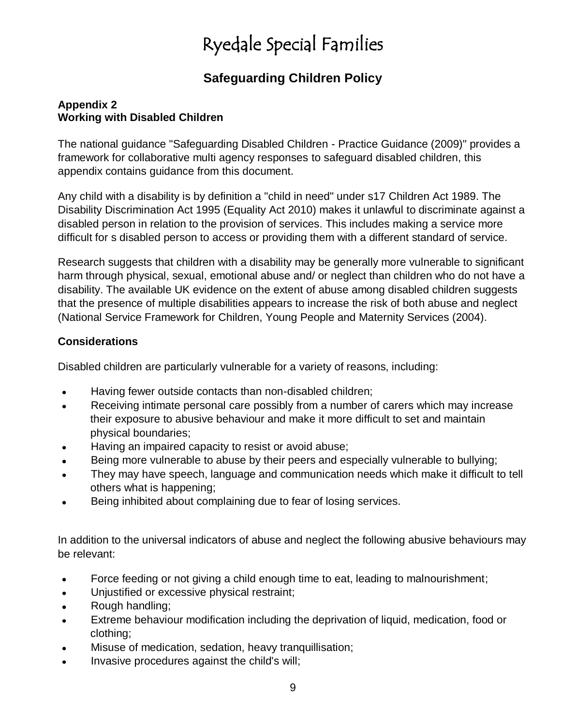## **Safeguarding Children Policy**

### **Appendix 2 Working with Disabled Children**

The national guidance "Safeguarding Disabled Children - Practice Guidance (2009)" provides a framework for collaborative multi agency responses to safeguard disabled children, this appendix contains guidance from this document.

Any child with a disability is by definition a "child in need" under s17 Children Act 1989. The Disability Discrimination Act 1995 (Equality Act 2010) makes it unlawful to discriminate against a disabled person in relation to the provision of services. This includes making a service more difficult for s disabled person to access or providing them with a different standard of service.

Research suggests that children with a disability may be generally more vulnerable to significant harm through physical, sexual, emotional abuse and/ or neglect than children who do not have a disability. The available UK evidence on the extent of abuse among disabled children suggests that the presence of multiple disabilities appears to increase the risk of both abuse and neglect (National Service Framework for Children, Young People and Maternity Services (2004).

## **Considerations**

Disabled children are particularly vulnerable for a variety of reasons, including:

- Having fewer outside contacts than non-disabled children;  $\bullet$
- Receiving intimate personal care possibly from a number of carers which may increase  $\bullet$ their exposure to abusive behaviour and make it more difficult to set and maintain physical boundaries;
- Having an impaired capacity to resist or avoid abuse;
- Being more vulnerable to abuse by their peers and especially vulnerable to bullying;
- They may have speech, language and communication needs which make it difficult to tell others what is happening;
- Being inhibited about complaining due to fear of losing services.  $\bullet$

In addition to the universal indicators of abuse and neglect the following abusive behaviours may be relevant:

- Force feeding or not giving a child enough time to eat, leading to malnourishment;  $\bullet$
- Unjustified or excessive physical restraint;
- Rough handling;  $\bullet$
- Extreme behaviour modification including the deprivation of liquid, medication, food or  $\bullet$ clothing;
- Misuse of medication, sedation, heavy tranquillisation;
- Invasive procedures against the child's will;